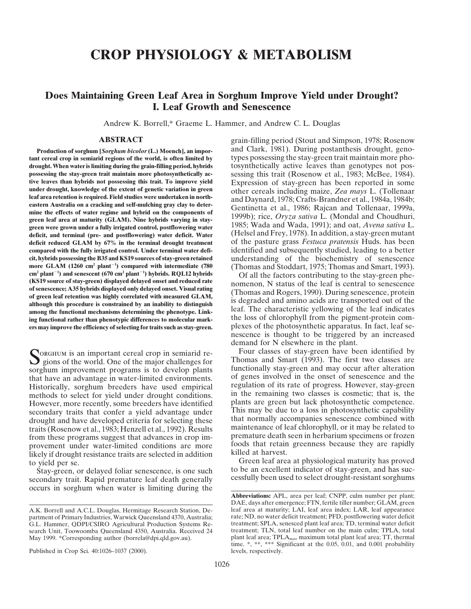# **CROP PHYSIOLOGY & METABOLISM**

# **Does Maintaining Green Leaf Area in Sorghum Improve Yield under Drought? I. Leaf Growth and Senescence**

Andrew K. Borrell,\* Graeme L. Hammer, and Andrew C. L. Douglas

**tant cereal crop in semiarid regions of the world, is often limited by** types possessing the stay-green trait maintain more pho**drought. When water is limiting during the grain-filling period, hybrids** tosynthetically active leaves than genotypes not pos**possessing the stay-green trait maintain more photosynthetically ac-** sessing this trait (Rosenow et al., 1983; McBee, 1984).<br>**Expression** of stay-green has been reported in some **tive leaves than hybrids not possessing this trait. To improve yield** Expression of stay-green has been reported in some under drought, knowledge of the extent of genetic variation in green other cereals including maize, under drought, knowledge of the extent of genetic variation in green<br>
leaf area retention is required. Field studies were undertaken in north-<br>
eastern Australia on a cracking and self-mulching gray clay to deter-<br>
mine th **green were grown under a fully irrigated control, postflowering water** and the state and Wada, 1991); and oat, *Avena sativa* L.<br>**deficit, and terminal (pre- and postflowering) water deficit. Water** (Helsel and Frey, 1978 **deficit reduced GLAM by 67% in the terminal drought treatment** of the pasture grass *Festuca pratensis* Huds. has been **compared with the fully irrigated control. Under terminal water defi-** identified and subsequently studied, leading to a better cit, hybrids possessing the B35 and KS19 sources of stay-green retained understanding of the more GLAM  $(1260 \text{ cm}^2 \text{ plant}^{-1})$  compared with intermediate  $(780 \text{ m})$  $\text{cm}^2$  plant<sup>-1</sup>) and senescent (670 cm<sup>2</sup> plant<sup>-1</sup>) hybrids. RQL12 hybrids cm<sup>2</sup> plant<sup>-1</sup>) and senescent (670 cm<sup>2</sup> plant<sup>-1</sup>) hybrids. RQL12 hybrids<br>
(KS19 source of stay-green) displayed delayed onset and reduced rate<br>
of senescence; A35 hybrids displayed only delayed onset. Visual rating<br>
of among the functional mechanisms determining the phenotype. Link-<br>
ing functional rather than phenotypic differences to molecular mark-<br>
<sup>1</sup> the loss of chlorophyll from the pigment-protein com**ers may improve the efficiency of selecting for traits such as stay-green.** plexes of the photosynthetic apparatus. In fact, leaf se-

sorghum improvement programs is to develop plants of genes involved in the onset of senescence and the that have an advantage in water-limited environments. Historically, sorghum breeders have used empirical methods to select for yield under drought conditions. in the remaining two classes is cosmetic; that is, the However, more recently, some breeders have identified plants are green but lack photosynthetic competence. secondary traits that confer a yield advantage under<br>distribution of the secondary that normally accompanies senescence combined with<br>that normally accompanies senescence combined with drought and have developed criteria for selecting these that normally accompanies senescence combined with traits (Rosenow et al. 1983; Henzell et al. 1992). Results maintenance of leaf chlorophyll, or it may be related to traits (Rosenow et al., 1983; Henzell et al., 1992). Results from these programs suggest that advances in crop im-<br>premature death seen in herbarium specimens or frozen<br>provement under water-limited conditions are more foods that retain greenness because they are rapidly provement under water-limited conditions are more foods that retain is because they are related to receive the state of the state of the state of the state theories because they are rapidly in addition likely if drought resistance traits are selected in addition

secondary trait. Rapid premature leaf death generally occurs in sorghum when water is limiting during the

**ABSTRACT** grain-filling period (Stout and Simpson, 1978; Rosenow **Production of sorghum [***Sorghum bicolor* **(L.) Moench], an impor-</mark> and Clark, 1981). During postanthesis drought, geno**understanding of the biochemistry of senescence **)** (Thomas and Stoddart, 1975; Thomas and Smart, 1993). Of all the factors contributing to the stay-green phe-

nescence is thought to be triggered by an increased demand for N elsewhere in the plant.<br>Four classes of stay-green have been identified by

Four classes of stay-green have been identified by<br>Sorghum is an important cereal crop in semiarid re-<br>Sorghum improvement programs is to develop plants functionally stay-green and may occur after alteration

to yield per se.<br>Stay-green, or delayed foliar senescence, is one such to be an excellent indicator of stay-green, and has sucto be an excellent indicator of stay-green, and has successfully been used to select drought-resistant sorghums

A.K. Borrell and A.C.L. Douglas, Hermitage Research Station, Department of Primary Industries, Warwick Queensland 4370, Australia; search Unit, Toowoomba Queensland 4350, Australia. Received 24 May 1999. \*Corresponding author (borrela@dpi.qld.gov.au).

Published in Crop Sci. 40:1026–1037 (2000). levels, respectively.

**Abbreviations:** APL, area per leaf; CNPP, culm number per plant; DAE, days after emergence; FTN, fertile tiller number; GLAM, green<br>leaf area at maturity; LAI, leaf area index; LAR, leaf appearance rate; ND, no water deficit treatment; PFD, postflowering water deficit treatment; SPLA, senesced plant leaf area; TD, terminal water deficit G.L. Hammer, QDPI/CSIRO Agricultural Production Systems Re- treatment; SPLA, senesced plant leaf area; TD, terminal water deficit plant leaf area; TPLA<sub>max</sub>, maximum total plant leaf area; TT, thermal time. \*, \*\*, \*\*\* Significant at the 0.05, 0.01, and 0.001 probability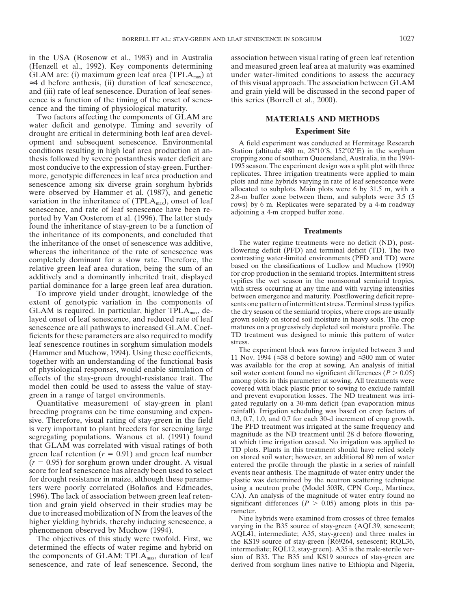cence is a function of the timing of the onset of senes- this series (Borrell et al., 2000). cence and the timing of physiological maturity.

Two factors affecting the components of GLAM are **MATERIALS AND METHODS** water deficit and genotype. Timing and severity of **Experiment Site** drought are critical in determining both leaf area development and subsequent senescence. Environmental A field experiment was conducted at Hermitage Research conditions resulting in high leaf area production at an-<br>Station (altitude 480 m, 28°10'S, 152°02'E) in the sorghum conditions resulting in high leaf area production at anthesis followed by severe postanthesis water deficit are cropping zone of southern Queensland, Australia, in the 1994-<br>most conducive to the expression of stay-green Further-<br>1995 season. The experiment design was a split most conducive to the expression of stay-green. Further-<br>more genotypic differences in leaf area production and<br>replicates. Three irrigation treatments were applied to main more, genotypic differences in leaf area production and<br>separates. Three irrigation treatments were applied to main<br>plots and nine hybrids varying in rate of leaf senescence were senescence among six diverse grain sorghum hybrids<br>were observed by Hammer et al. (1987), and genetic<br>variation in the inheritance of (TPLA<sub>max</sub>), onset of leaf<br>senescence, and rate of leaf senescence have been re-<br>ported found the inheritance of stay-green to be a function of **Treatments** the inheritance of its components, and concluded that **Treatments** the inheritance of the onset of senescence was additive, The water regime treatments were no deficit (ND), post-<br>whereas the inheritance of the rate of senescence was flowering deficit (PFD) and terminal deficit (TD). The whereas the inheritance of the rate of senescence was flowering deficit (PFD) and terminal deficit (TD). The two<br>completely dominant for a slow rate. Therefore, the contrasting water-limited environments (PFD and TD) were

layed onset of leaf senescence, and reduced rate of leaf grown solely on stored soil moisture in heavy soils. The crop senescence are all pathways to increased GLAM. Coef matures on a progressively depleted soil moisture p senescence are all pathways to increased GLAM. Coef-<br>ficients for these parameters are also required to modify TD treatment was designed to mimic this pattern of water ficients for these parameters are also required to modify TD treatments for these parameters are also required to models Leaf senescence routines in sorghum simulation models<br>
(Hammer and Muchow, 1994). Using these coefficients,<br>
together with an understanding of the functional basis<br>
together with an understanding of the functional basis<br>

breeding programs can be time consuming and expen-<br>sive. Therefore, visual rating of stav-green in the field 0.3, 0.7, 1.0, and 0.7 for each 30-d increment of crop growth. sive. Therefore, visual rating of stay-green in the field  $0.3, 0.7, 1.0$ , and 0.7 for each 30-d increment of crop growth.<br>
is very important to plant breeders for screening large segregating populations. Wanous et al. (1 ters were poorly correlated (Bolaños and Edmeades, using a neutron probe (Model 503R, CPN Corp., Martinez, 1996). The lack of association between green leaf reten-<br>
CA). An analysis of the magnitude of water entry found no 1996). The lack of association between green leaf retention and grain yield observed in their studies may be significant differences  $(P > 0.05)$  among plots in this pa-<br>due to increased mobilization of N from the leaves of the<br>higher vialding hybrids thereby inducing senaccenc

senescence, and rate of leaf senescence. Second, the derived from sorghum lines native to Ethiopia and Nigeria,

in the USA (Rosenow et al., 1983) and in Australia association between visual rating of green leaf retention (Henzell et al., 1992). Key components determining and measured green leaf area at maturity was examined GLAM are: (i) maximum green leaf area (TPLA<sub>max</sub>) at under water-limited conditions to assess the accuracy ≈4 d before anthesis, (ii) duration of leaf senescence, of this visual approach. The association between GLAM and (iii) rate of leaf senescence. Duration of leaf senes- and grain yield will be discussed in the second paper of

completely dominant for a slow rate. Therefore, the<br>relative green leaf area duration, being the sum of an<br>additively and a dominantly inherited trait, displayed<br>partial dominance for a large green leaf area duration.<br>To i

Quantitative measurement of stay-green in plant gated regularly on a 30-mm deficit (pan evaporation minus

higher yielding hybrids, thereby inducing senscence, a<br>phenomenon observed by Muchow (1994).<br>The objectives of this study were twofold. First, we<br>determined the effects of water regime and hybrid on<br>the COLE is intermediat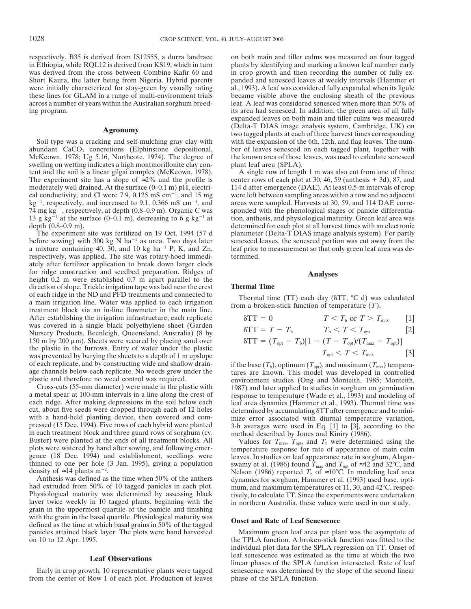respectively. B35 is derived from IS12555, a durra landrace on both main and tiller culms was measured on four tagged<br>in Ethiopia, while RQL12 is derived from KS19, which in turn plants by identifying and marking a known l was derived from the cross between Combine Kafir 60 and in crop growth and then recording the number of fully ex-Short Kaura, the latter being from Nigeria. Hybrid parents panded and senesced leaves at weekly intervals (Hammer et were initially characterized for stay-green by visually rating al., 1993). A leaf was considered fully ex these lines for GLAM in a range of multi-environment trials became visible above the enclosing sheath of the previous across a number of years within the Australian sorghum breed- leaf. A leaf was considered senesced when more than 50% of ing program. its area had senesced. In addition, the green area of all fully

abundant CaCO<sub>3</sub> concretions (Elphinstone depositional, ber of leaves senesced on each tagged plant, together with McKeown, 1978; Ug 5.16, Northcote, 1974). The degree of the known area of those leaves, was used to calcula McKeown, 1978; Ug 5.16, Northcote, 1974). The degree of the known area of those swelling on wetting indicates a high montmorillonite clay con-<br>plant leaf area (SPLA). swelling on wetting indicates a high montmorillonite clay con-<br>tent and the soil is a linear gilgai complex (McKeown, 1978). A single row of length 1 m was also cut from one of three tent and the soil is a linear gilgai complex (McKeown, 1978). The experiment site has a slope of  $\approx 2\%$  and the profile is center rows of each plot at 30, 46, 59 (anthesis + 3d), 87, and moderately well drained. At the surface (0–0.1 m) pH, electri-<br>114 d after emergence (DAE). At least 0.5-m intervals of crop cal conductivity, and Cl were 7.9, 0.125 mS cm<sup>-1</sup>, and 15 mg  $kg^{-1}$ , respectively, and increased to 9.1, 0.366 mS cm<sup>-1</sup>, and areas were sampled. Harvests at 30, 59, and 114 DAE corre-74 mg kg $^{-1}$ 13 g  $kg^{-1}$  at the surface (0–0.1 m), decreasing to 6 g kg<sup>-1</sup> at tion, anthesis, and physiological maturity. Green leaf area was

before sowing) with 300 kg N ha<sup>-1</sup> as urea. Two days later senesced leaves, the senesced portion was cut away from the a mixture containing 40, 30, and 10 kg ha<sup>-1</sup> P, K, and Zn, leaf prior to measurement so that only green leaf area was derespectively, was applied. The site was rotary-hoed immedi- termined. ately after fertilizer application to break down larger clods for ridge construction and seedbed preparation. Ridges of for ridge construction and seedbed preparation. Ridges of **Analyses** height 0.2 m were established 0.7 m apart parallel to the direction of slope. Trickle irrigation tape was laid near the crest **Thermal Time** direction of slope. Trickle irrigation tape was laid near the crest of each ridge in the ND and PFD treatments and connected to of each ringe in the ND and FFD treatments and connected to<br>a main irrigation inne. Water was applied to each irrigation<br>treatment block via an in-line flowmeter in the main line.<br>the main line. After establishing the irrigation infrastructure, each replicate was covered in a single black polyethylene sheet (Garden was covered in a single black polyethylene sheet (Garden dTata 5 *λ T* 2 *Thursery Products, Beenleigh, Queensland, Australia) (8 by* 150 m by 200  $\mu$ m). Sheets were secured by placing sand over the plastic in the furrows. Entry of water under the plastic was prevented by burying the sheets to a depth of 1 m upslope<br>of each replicate, and by constructing wide and shallow drain-if the base  $(T_s)$ , optimum  $(T_{\text{on}})$ , and maximum (1)

of each replicate, and by constructing wide and shallow drain-<br>
age channels below each replicate. No weeds grew under the<br>
aplastic and therefore no weed control was required.<br>
Plastic and therefore no weed control was r density of  $\approx$  14 plants m<sup>-2</sup>.

with the grain in the basal quartile. Physiological maturity was<br>defined as the time at which basal grains in 50% of the tagged<br>panicles attained black layer. The plots were hand harvested<br>Maximum green leaf area per plant panicles attained black layer. The plots were hand harvested on 10 to 12 Apr. 1995.

from the center of Row 1 of each plot. Production of leaves

plants by identifying and marking a known leaf number early al., 1993). A leaf was considered fully expanded when its ligule expanded leaves on both main and tiller culms was measured (Delta-T DIAS image analysis system, Cambridge, UK) on (Delta-T DIAS image analysis system, Cambridge, UK) on **Agronomy** two tagged plants at each of three harvest times corresponding Soil type was a cracking and self-mulching gray clay with with the expansion of the 6th, 12th, and flag leaves. The num-

were left between sampling areas within a row and no adjacent areas were sampled. Harvests at 30, 59, and 114 DAE corresponded with the phenological stages of panicle differentiadepth (0.8–0.9 m).<br>The experiment site was fertilized on 19 Oct. 1994 (57 d) and planimeter (Delta-T DIAS image analysis system). For partly planimeter (Delta-T DIAS image analysis system). For partly

$$
\delta TT = 0 \qquad \qquad T < T_{\text{b}} \text{ or } T > T_{\text{max}} \qquad [1]
$$

$$
\text{STT} = T - T_{\text{b}} \qquad T_{\text{b}} < T < T_{\text{opt}} \qquad [2]
$$

$$
\delta TT = (T_{\text{opt}} - T_{\text{b}})[1 - (T - T_{\text{opt}})/(T_{\text{max}} - T_{\text{opt}})]
$$
  

$$
T_{\text{tot}} < T < T_{\text{max}} \tag{3}
$$

density of  $\approx$  14 plants m<sup>-2</sup>.<br>
Anthesis was defined as the time when 50% of the anthers<br>
had extruded from 50% of 10 tagged panicles in each plot.<br>
Physiological maturity was determined by assessing black<br>
layer twice

the TPLA function. A broken-stick function was fitted to the individual plot data for the SPLA regression on TT. Onset of **Leaf Observations** leaf senescence was estimated as the time at which the two linear phases of the SPLA function intersected. Rate of leaf senescence was determined by the slope of the second linear phases of the second l senescence was determined by the slope of the second linear phase of the SPLA function.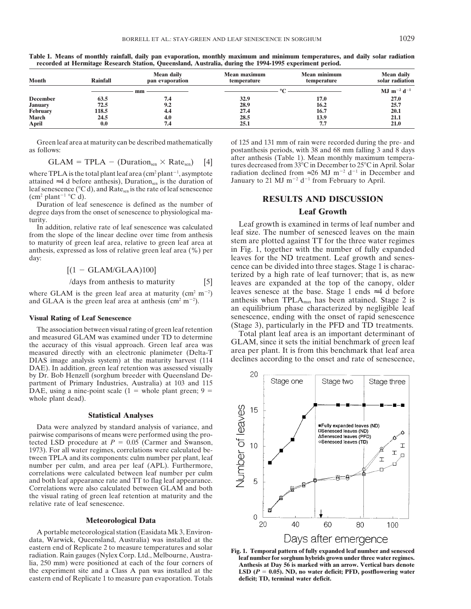| <b>Month</b>    | <b>Rainfall</b> | Mean daily<br>pan evaporation | Mean maximum<br>temperature | <b>Mean minimum</b><br>temperature | <b>Mean daily</b><br>solar radiation |
|-----------------|-----------------|-------------------------------|-----------------------------|------------------------------------|--------------------------------------|
|                 |                 | mm                            |                             |                                    | $MJ$ m <sup>-2</sup> d <sup>-1</sup> |
| <b>December</b> | 63.5            | 7.4                           | 32.9                        | 17.0                               | <b>27.0</b>                          |
| <b>January</b>  | 72.5            | 9.2                           | 28.9                        | 16.2                               | 25.7                                 |
| February        | 118.5           | 4.4                           | 27.4                        | 16.7                               | 20.1                                 |
| <b>March</b>    | 24.5            | 4.0                           | 28.5                        | 13.9                               | 21.1                                 |
| April           | 0.0             | 7.4                           | 25.1                        | 7.7                                | <b>21.0</b>                          |

**Table 1. Means of monthly rainfall, daily pan evaporation, monthly maximum and minimum temperatures, and daily solar radiation recorded at Hermitage Research Station, Queensland, Australia, during the 1994-1995 experiment period.**

as follows: postanthesis periods, with 38 and 68 mm falling 3 and 8 days

where TPLA is the total plant leaf area (cm<sup>2</sup> plant<sup>-1</sup>, asymptote radiation declined from ≈26 MJ m<sup>-2</sup> d<sup>-1</sup> in December anthesis), Duration<sub>s®</sub> is the duration of January to 21 MJ m<sup>-2</sup> d<sup>-1</sup> from February to April. attained ≈4 d before anthesis), Duration is the duration of leaf senescence (°C d), and Rate<sub>sen</sub> is the rate of leaf senescence (cm<sup>2</sup> plant<sup>-1</sup> °C d).

m<sup>2</sup> plant<sup>-1</sup> °C d).<br>
Duration of leaf senescence is defined as the number of **RESULTS AND DISCUSSION**<br>
Parce days from the onset of senescence to physiological ma-<br> **RESULTS AND DISCUSSION** degree days from the onset of senescence to physiological maturity.

anthesis, expressed as loss of relative green leaf area  $(\%)$  per

$$
[(1 - GLAM/GLAA)100]
$$

where GLAM is the green leaf area at maturity (cm<sup>2</sup> m<sup>-2</sup>) and GLAA is the green leaf area at anthesis ( $\text{cm}^2 \text{ m}^{-2}$ ).

The association between visual rating of green leaf retention<br>and measured GLAM was examined under TD to determine<br>the accuracy of this visual approach. Green leaf area was<br>discussed by the securacy of this visual approach measured directly with an electronic planimeter (Delta-T area per plant. It is from this benchmark that leaf area DIAS image analysis system) at the maturity harvest (114 declines according to the onset and rate of senescence, DAE). In addition, green leaf retention was assessed visually by Dr. Bob Henzell (sorghum breeder with Queensland Department of Primary Industries, Australia) at 103 and 115 DAE, using a nine-point scale  $(1 =$  whole plant green;  $9 =$ whole plant dead).

## **Statistical Analyses**

Data were analyzed by standard analysis of variance, and pairwise comparisons of means were performed using the protected LSD procedure at  $P = 0.05$  (Carmer and Swanson, 1973). For all water regimes, correlations were calculated between TPLA and its components: culm number per plant, leaf number per culm, and area per leaf (APL). Furthermore, correlations were calculated between leaf number per culm and both leaf appearance rate and TT to flag leaf appearance. Correlations were also calculated between GLAM and both the visual rating of green leaf retention at maturity and the relative rate of leaf senescence.

## **Meteorological Data**

A portable meteorological station (Easidata Mk 3, Environdata, Warwick, Queensland, Australia) was installed at the eastern end of Replicate 2 to measure temperatures and solar<br>
radiation. Rain gauges (Nylex Corp. Ltd., Melbourne, Austra-<br>
lia, 250 mm) were positioned at each of the four corners of **Austra-**<br> **Austra- Example 10 Exa** the experiment site and a Class A pan was installed at the **LSD**  $(P = 0.05)$ . ND, no water deficit; PFD, postflowering water eastern end of Replicate 1 to measure pan evaporation. Totals deficit; TD, terminal water deficit eastern end of Replicate 1 to measure pan evaporation. Totals

Green leaf area at maturity can be described mathematically of 125 and 131 mm of rain were recorded during the pre- and after anthesis (Table 1). Mean monthly maximum temperatures decreased from  $33^{\circ}$ C in December to  $25^{\circ}$ C in April. Solar radiation declined from  $\approx 26$  MJ m<sup>-2</sup> d<sup>-1</sup> in December and

I and tion, relative rate of leaf senescence was calculated<br>
I and the slope of the linear decline over time from anthesis<br>
to maturity of green leaf area, relative to green leaf area at<br>
to maturity of green leaf area, re day: leaves for the ND treatment. Leaf growth and senes- $\begin{array}{ll}\n(1 - \text{GLAM/GLAA})100] \\
\text{(1 - GLAM/GLAA)}100] \\
\text{(days from anthesis to maturity} & [5] \\
\text{(1 - GLAM/GLAA)})\n\end{array}$  leaves are expanded at the top of the canopy, older leaves senesce at the base. Stage 1 ends  $\approx$  4 d before anthesis when  $TPLA_{max}$  has been attained. Stage 2 is an equilibrium phase characterized by negligible leaf **Visual Rating of Leaf Senescence**<br>
Senescence, ending with the onset of rapid senescence<br>
The essenciation between visual rating of groom logf retention<br>
(Stage 3), particularly in the PFD and TD treatments.

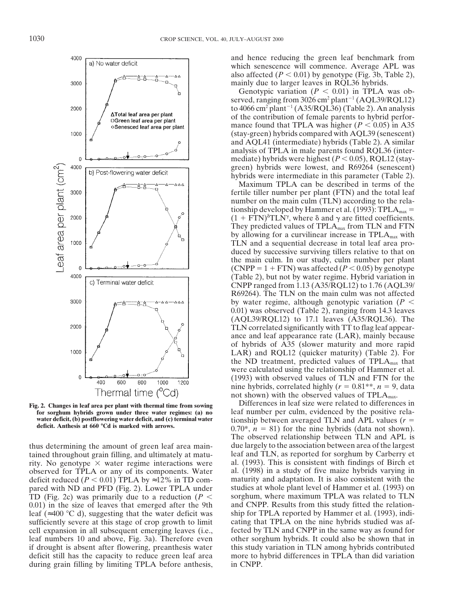

tained throughout grain filling, and ultimately at matu-<br>rity. No genotype  $\times$  water regime interactions were al. (1993). This is consistent with findings of Birch et rity. No genotype  $\times$  water regime interactions were al. (1993). This is consistent with findings of Birch et observed for TPLA or any of its components. Water al. (1998) in a study of five maize hybrids varying in observed for TPLA or any of its components. Water al. (1998) in a study of five maize hybrids varying in deficit reduced ( $P < 0.01$ ) TPLA by  $\approx$ 12% in TD com-<br>maturity and adaptation. It is also consistent with the deficit reduced ( $P < 0.01$ ) TPLA by ≈12% in TD compared with ND and PFD (Fig. 2). Lower TPLA under studies at whole plant level of Hammer et al. (1993) on TD (Fig. 2c) was primarily due to a reduction ( $P <$  sorghum, where maximum TPLA was related to TLN 0.01) in the size of leaves that emerged after the 9th and CNPP. Results from this study fitted the relationleaf (≈400 8C d), suggesting that the water deficit was ship for TPLA reported by Hammer et al. (1993), indisufficiently severe at this stage of crop growth to limit cating that TPLA on the nine hybrids studied was afcell expansion in all subsequent emerging leaves (i.e., fected by TLN and CNPP in the same way as found for leaf numbers 10 and above, Fig. 3a). Therefore even other sorghum hybrids. It could also be shown that in if drought is absent after flowering, preanthesis water this study variation in TLN among hybrids contributed deficit still has the capacity to reduce green leaf area more to hybrid differences in TPLA than did variation during grain filling by limiting TPLA before anthesis, in CNPP.

and hence reducing the green leaf benchmark from which senescence will commence. Average APL was also affected  $(P < 0.01)$  by genotype (Fig. 3b, Table 2), mainly due to larger leaves in RQL36 hybrids.

Genotypic variation  $(P < 0.01)$  in TPLA was observed, ranging from 3026 cm<sup>2</sup> plant<sup>-1</sup> (AQL39/RQL12) to 4066 cm<sup>2</sup> plant<sup>-1</sup> (A35/RQL36) (Table 2). An analysis of the contribution of female parents to hybrid performance found that TPLA was higher  $(P < 0.05)$  in A35 (stay-green) hybrids compared with AQL39 (senescent) and AQL41 (intermediate) hybrids (Table 2). A similar analysis of TPLA in male parents found RQL36 (intermediate) hybrids were highest  $(P < 0.05)$ , RQL12 (staygreen) hybrids were lowest, and R69264 (senescent) hybrids were intermediate in this parameter (Table 2).

Maximum TPLA can be described in terms of the fertile tiller number per plant (FTN) and the total leaf number on the main culm (TLN) according to the relationship developed by Hammer et al. (1993): TPL $A<sub>max</sub>$  =  $(1 + \text{FTN})^{\delta}$ TLN<sup> $\gamma$ </sup>, where  $\delta$  and  $\gamma$  are fitted coefficients. They predicted values of  $TPLA<sub>max</sub>$  from TLN and FTN by allowing for a curvilinear increase in  $TPLA<sub>max</sub>$  with TLN and a sequential decrease in total leaf area produced by successive surviving tillers relative to that on the main culm. In our study, culm number per plant (CNPP =  $1 + FTN$ ) was affected ( $P < 0.05$ ) by genotype (Table 2), but not by water regime. Hybrid variation in CNPP ranged from 1.13 (A35/RQL12) to 1.76 (AQL39/ R69264). The TLN on the main culm was not affected by water regime, although genotypic variation  $(P \leq$ 0.01) was observed (Table 2), ranging from 14.3 leaves (AQL39/RQL12) to 17.1 leaves (A35/RQL36). The TLN correlated significantly with TT to flag leaf appearance and leaf appearance rate (LAR), mainly because of hybrids of A35 (slower maturity and more rapid LAR) and RQL12 (quicker maturity) (Table 2). For the ND treatment, predicted values of  $TPLA<sub>max</sub>$  that were calculated using the relationship of Hammer et al. (1993) with observed values of TLN and FTN for the nine hybrids, correlated highly ( $r = 0.81**$ ,  $n = 9$ , data not shown) with the observed values of  $TPLA<sub>max</sub>$ .

**Fig. 2. Changes in leaf area per plant with thermal time from sowing** Differences in leaf size were related to differences in **for sorghum hybrids grown under three water regimes: (a) no** leaf number per culm, evidenced by the positive relawater deficit, (b) postflowering water deficit, and (c) terminal water<br>deficitionship between averaged TLN and APL values ( $r = 0.70^*$ ,  $n = 81$ ) for the nine hybrids (data not shown). The observed relationship between TLN and APL is thus determining the amount of green leaf area main- due largely to the association between area of the largest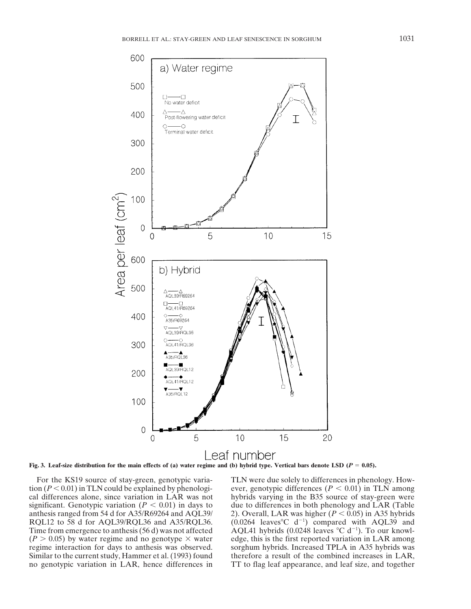

**Fig. 3.** Leaf-size distribution for the main effects of (a) water regime and (b) hybrid type. Vertical bars denote LSD ( $P = 0.05$ ).

cal differences alone, since variation in LAR was not hybrids varying in the B35 source of stay-green were significant. Genotypic variation  $(P < 0.01)$  in days to due to differences in both phenology and LAR (Table anthesis ranged from 54 d for A35/R69264 and AQL39/ 2). Overall, LAR was higher ( $P < 0.05$ ) in A35 hybrids RQL12 to 58 d for AQL39/RQL36 and A35/RQL36.  $(0.0264 \text{ leaves}^{\circ} \text{C } d^{-1})$  compared with AQL39 and Time from emergence to anthesis  $(56 d)$  was not affected  $(P > 0.05)$  by water regime and no genotype  $\times$  water edge, this is the first reported variation in LAR among regime interaction for days to anthesis was observed. sorghum hybrids. Increased TPLA in A35 hybrids was Similar to the current study, Hammer et al. (1993) found therefore a result of the combined increases in LAR,

For the KS19 source of stay-green, genotypic varia-<br>tion  $(P < 0.01)$  in TLN could be explained by phenologi-<br>ever, genotypic differences  $(P < 0.01)$  in TLN among ever, genotypic differences ( $P < 0.01$ ) in TLN among  $\angle$ AQL41 hybrids (0.0248 leaves °C d<sup>-1</sup>). To our knowlno genotypic variation in LAR, hence differences in TT to flag leaf appearance, and leaf size, and together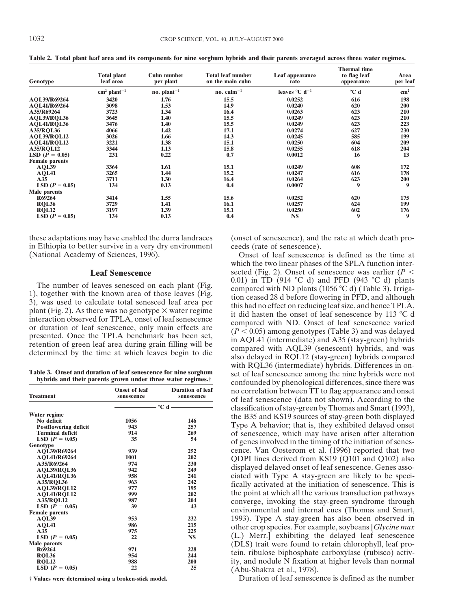| Genotype              | <b>Total plant</b><br>leaf area   | <b>Culm number</b><br>per plant | <b>Total leaf number</b><br>on the main culm | Leaf appearance<br>rate             | Thermal time<br>to flag leaf<br>appearance | Area<br>per leaf |
|-----------------------|-----------------------------------|---------------------------------|----------------------------------------------|-------------------------------------|--------------------------------------------|------------------|
|                       | $\text{cm}^2$ plant <sup>-1</sup> | no. $plant^{-1}$                | no. $\text{culm}^{-1}$                       | leaves $^{\circ}$ C d <sup>-1</sup> | °C d                                       | $\text{cm}^2$    |
|                       |                                   |                                 |                                              |                                     |                                            |                  |
| AQL39/R69264          | 3420                              | 1.76                            | 15.5                                         | 0.0252                              | 616                                        | 198              |
| AQL41/R69264          | 3098                              | 1.53                            | 14.9                                         | 0.0240                              | 620                                        | 200              |
| A35/R69264            | 3723                              | 1.34                            | 16.4                                         | 0.0263                              | 623                                        | 210              |
| AOL39/ROL36           | 3645                              | 1.40                            | 15.5                                         | 0.0249                              | 623                                        | 210              |
| AQL41/RQL36           | 3476                              | 1.40                            | 15.5                                         | 0.0249                              | 623                                        | 223              |
| <b>A35/RQL36</b>      | 4066                              | 1.42                            | 17.1                                         | 0.0274                              | 627                                        | 230              |
| <b>AQL39/RQL12</b>    | 3026                              | 1.66                            | 14.3                                         | 0.0245                              | 585                                        | 199              |
| <b>AOL41/ROL12</b>    | 3221                              | 1.38                            | 15.1                                         | 0.0250                              | 604                                        | 209              |
| <b>A35/RQL12</b>      | 3344                              | 1.13                            | 15.8                                         | 0.0255                              | 618                                        | 204              |
| LSD $(P = 0.05)$      | 231                               | 0.22                            | 0.7                                          | 0.0012                              | 16                                         | 13               |
| <b>Female parents</b> |                                   |                                 |                                              |                                     |                                            |                  |
| AQL39                 | 3364                              | 1.61                            | 15.1                                         | 0.0249                              | 608                                        | 172              |
| AQL41                 | 3265                              | 1.44                            | 15.2                                         | 0.0247                              | 616                                        | 178              |
| A35                   | 3711                              | 1.30                            | 16.4                                         | 0.0264                              | 623                                        | 200              |
| $LSD (P = 0.05)$      | 134                               | 0.13                            | 0.4                                          | 0.0007                              | 9                                          | 9                |
| Male parents          |                                   |                                 |                                              |                                     |                                            |                  |
| R69264                | 3414                              | 1.55                            | 15.6                                         | 0.0252                              | 620                                        | 175              |
| <b>RQL36</b>          | 3729                              | 1.41                            | 16.1                                         | 0.0257                              | 624                                        | 199              |
| <b>RQL12</b>          | 3197                              | 1.39                            | 15.1                                         | 0.0250                              | 602                                        | 176              |
| LSD $(P = 0.05)$      | 134                               | 0.13                            | 0.4                                          | <b>NS</b>                           | 9                                          | 9                |

**Table 2. Total plant leaf area and its components for nine sorghum hybrids and their parents averaged across three water regimes.**

these adaptations may have enabled the durra landraces (onset of senescence), and the rate at which death pro-<br>in Ethiopia to better survive in a very dry environment ceeds (rate of senescence). in Ethiopia to better survive in a very dry environment (National Academy of Sciences, 1996).

| <b>Treatment</b>             | <b>Onset of leaf</b><br>senescence | <b>Duration of leaf</b><br>senescence                                                                                                                                                                                                                                                                                                   |
|------------------------------|------------------------------------|-----------------------------------------------------------------------------------------------------------------------------------------------------------------------------------------------------------------------------------------------------------------------------------------------------------------------------------------|
|                              |                                    | $\overline{\phantom{a}}$ $\hspace{a}$ $\hspace{a}$ $\hspace{a}$ $\hspace{a}$ $\hspace{a}$ $\hspace{a}$ $\hspace{a}$ $\hspace{a}$ $\hspace{a}$ $\hspace{a}$ $\hspace{a}$ $\hspace{a}$ $\hspace{a}$ $\hspace{a}$ $\hspace{a}$ $\hspace{a}$ $\hspace{a}$ $\hspace{a}$ $\hspace{a}$ $\hspace{a}$ $\hspace{a}$ $\hspace{a}$ $\hspace{a}$ $\$ |
| Water regime                 |                                    |                                                                                                                                                                                                                                                                                                                                         |
| No deficit                   | 1056                               | 146                                                                                                                                                                                                                                                                                                                                     |
| <b>Postflowering deficit</b> | 943                                | 257                                                                                                                                                                                                                                                                                                                                     |
| <b>Terminal deficit</b>      | 914                                | 269                                                                                                                                                                                                                                                                                                                                     |
| LSD $(P = 0.05)$             | 35                                 | 54                                                                                                                                                                                                                                                                                                                                      |
| Genotype                     |                                    |                                                                                                                                                                                                                                                                                                                                         |
| AQL39/R69264                 | 939                                | 252                                                                                                                                                                                                                                                                                                                                     |
| <b>AOL41/R69264</b>          | 1001                               | 202                                                                                                                                                                                                                                                                                                                                     |
| A35/R69264                   | 974                                | 230                                                                                                                                                                                                                                                                                                                                     |
| <b>AOL39/ROL36</b>           | 942                                | 249                                                                                                                                                                                                                                                                                                                                     |
| AOL41/ROL36                  | 958                                | 241                                                                                                                                                                                                                                                                                                                                     |
| <b>A35/ROL36</b>             | 963                                | 242                                                                                                                                                                                                                                                                                                                                     |
| AOL39/ROL12                  | 977                                | 195                                                                                                                                                                                                                                                                                                                                     |
| <b>AOL41/ROL12</b>           | 999                                | 202                                                                                                                                                                                                                                                                                                                                     |
| <b>A35/ROL12</b>             | 987                                | 204                                                                                                                                                                                                                                                                                                                                     |
| LSD $(P = 0.05)$             | 39                                 | 43                                                                                                                                                                                                                                                                                                                                      |
| <b>Female</b> parents        |                                    |                                                                                                                                                                                                                                                                                                                                         |
| AQL39                        | 953                                | 232                                                                                                                                                                                                                                                                                                                                     |
| AQL41                        | 986                                | 215                                                                                                                                                                                                                                                                                                                                     |
| A35                          | 975                                | 225                                                                                                                                                                                                                                                                                                                                     |
| LSD $(P = 0.05)$             | 22                                 | <b>NS</b>                                                                                                                                                                                                                                                                                                                               |
| Male parents                 |                                    |                                                                                                                                                                                                                                                                                                                                         |
| R69264                       | 971                                | 228                                                                                                                                                                                                                                                                                                                                     |
| <b>RQL36</b>                 | 954                                | 244                                                                                                                                                                                                                                                                                                                                     |
| <b>ROL12</b>                 | 988                                | 200                                                                                                                                                                                                                                                                                                                                     |
| LSD $(P = 0.05)$             | 22                                 | 25                                                                                                                                                                                                                                                                                                                                      |

Onset of leaf senescence is defined as the time at which the two linear phases of the SPLA function inter-**Leaf Senescence** sected (Fig. 2). Onset of senescence was earlier  $(P < 0.01)$  in TD (914 °C d) and PFD (943 °C d) plants The number of leaves senesced on each plant (Fig. 0.01) in TD (914 °C d) and PFD (943 °C d) plants<br>1), together with the known area of those leaves (Fig. 3), was used to calculate total senesced leaf area per<br>3), was used with RQL36 (intermediate) hybrids. Differences in on-Table 3. Onset and duration of leaf senescence for nine sorghum<br>hybrids and their parents grown under three water regimes.<sup>†</sup> confounded by phenological differences, since there was no correlation between TT to flag appearance and onset of leaf senescence (data not shown). According to the classification of stay-green by Thomas and Smart (1993), the B35 and KS19 sources of stay-green both displayed Type A behavior; that is, they exhibited delayed onset of senescence, which may have arisen after alteration of genes involved in the timing of the initiation of senescence. Van Oosterom et al. (1996) reported that two QDPI lines derived from KS19 (Q101 and Q102) also displayed delayed onset of leaf senescence. Genes associated with Type A stay-green are likely to be speci-<br>fically activated at the initiation of senescence. This is the point at which all the various transduction pathways converge, invoking the stay-green syndrome through environmental and internal cues (Thomas and Smart, 1993). Type A stay-green has also been observed in other crop species. For example, soybeans [*Glycine max* (L.) Merr.] exhibiting the delayed leaf senescence (DLS) trait were found to retain chlorophyll, leaf protein, ribulose biphosphate carboxylase (rubisco) activity, and nodule N fixation at higher levels than normal **LSD (***<sup>P</sup>* <sup>5</sup> **0.05) 22 25** (Abu-Shakra et al., 1978).

**† Values were determined using a broken-stick model.** Duration of leaf senescence is defined as the number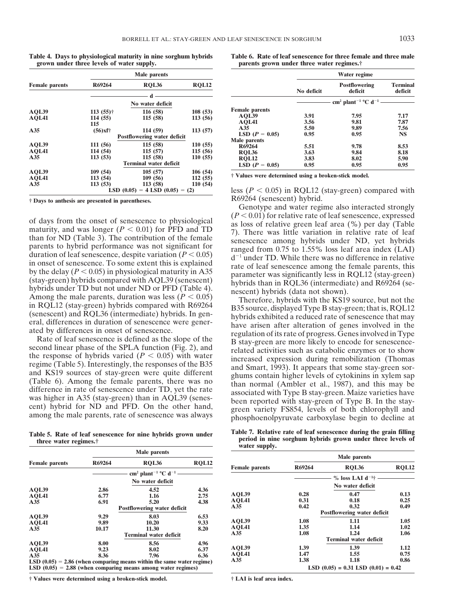**Table 4. Days to physiological maturity in nine sorghum hybrids Table 6. Rate of leaf senescence for three female and three male**

|                       | Male parents                                                                                       |                                         |                               |                                                         |              | Water regime                                           |                            |
|-----------------------|----------------------------------------------------------------------------------------------------|-----------------------------------------|-------------------------------|---------------------------------------------------------|--------------|--------------------------------------------------------|----------------------------|
| <b>Female</b> parents | R69264                                                                                             | <b>ROL36</b>                            | RQL12                         |                                                         | No deficit   | Postflowering<br>deficit                               | <b>Terminal</b><br>deficit |
|                       |                                                                                                    | No water deficit                        |                               |                                                         |              | cm <sup>2</sup> plant <sup>-1</sup> °C d <sup>-1</sup> |                            |
| AOL39<br>AQL41        | $113(55)$ †<br>114(55)<br>115                                                                      | 116 (58)<br>115(58)                     | 108(53)<br>113(56)            | <b>Female</b> parents<br>AQL39<br>AOL41                 | 3.91<br>3.56 | 7.95<br>9.81                                           | 7.17<br>7.87               |
| A35                   | $(56)$ xf†                                                                                         | 114 (59)<br>Postflowering water deficit | 113(57)                       | A35<br>LSD $(P = 0.05)$<br>Male parents                 | 5.50<br>0.95 | 9.89<br>0.95                                           | 7.56<br><b>NS</b>          |
| AOL39<br>AQL41<br>A35 | 111(56)<br>114 (54)<br>113(53)                                                                     | 115(58)<br>115(57)<br>115(58)           | 110(55)<br>115(56)<br>110(55) | R69264<br><b>ROL36</b>                                  | 5.51<br>3.63 | 9.78<br>9.84                                           | 8.53<br>8.18               |
|                       |                                                                                                    | <b>Terminal water deficit</b>           |                               | <b>ROL12</b><br>LSD $(P = 0.05)$                        | 3.83<br>0.95 | 8.02<br>0.95                                           | 5.90<br>0.95               |
| AOL39<br>AQL41<br>A35 | 109(54)<br>105(57)<br>106 (54)<br>113(54)<br>112(55)<br>109 (56)<br>113 (58)<br>113(53)<br>110(54) |                                         |                               | † Values were determined using a broken-stick model.    |              |                                                        |                            |
|                       |                                                                                                    | LSD $(0.05) = 4$ LSD $(0.05) = (2)$     |                               | less ( $P < 0.05$ ) in RQL12 (stay-green) compared with |              |                                                        |                            |

|                       |        | <b>Male parents</b>                                                     |              |                       |        | Male parents                       |
|-----------------------|--------|-------------------------------------------------------------------------|--------------|-----------------------|--------|------------------------------------|
| <b>Female parents</b> | R69264 | <b>ROL36</b>                                                            | <b>ROL12</b> | <b>Female</b> parents | R69264 | <b>ROL36</b>                       |
|                       |        | cm <sup>2</sup> plant <sup>-1</sup> °C d <sup>-1</sup>                  |              |                       |        | $\%$ loss LAI d <sup>-1</sup> †    |
|                       |        | No water deficit                                                        |              |                       |        | No water deficit                   |
| AOL39                 | 2.86   | 4.52                                                                    | 4.36         |                       |        |                                    |
| AQL41                 | 6.77   | 1.16                                                                    | 2.75         | AOL39                 | 0.28   | 0.47                               |
| A35                   | 6.91   | 5.20                                                                    | 4.38         | AQL41                 | 0.31   | 0.18                               |
|                       |        | Postflowering water deficit                                             |              | A35                   | 0.42   | 0.32                               |
| AOL39                 | 9.29   | 8.03                                                                    | 6.53         |                       |        | <b>Postflowering water deficit</b> |
| AQL41                 | 9.89   | 10.20                                                                   | 9.33         | AOL39                 | 1.08   | 1.11                               |
| A35                   | 10.17  | 11.30                                                                   | 8.20         | AOL41                 | 1.35   | 1.14                               |
|                       |        | <b>Terminal water deficit</b>                                           |              | A35                   | 1.08   | 1.24                               |
| AOL39                 | 8.00   | 8.56                                                                    | 4.96         |                       |        | <b>Terminal water deficit</b>      |
| AQL41                 | 9.23   | 8.02                                                                    | 6.37         | AOL39                 | 1.39   | 1.39                               |
| A35                   | 8.36   | 7.96                                                                    | 6.36         | AQL41                 | 1.47   | 1.55                               |
|                       |        | LSD $(0.05) = 2.86$ (when comparing means within the same water regime) |              | A35                   | 1.38   | 1.18                               |
|                       |        | LSD $(0.05) = 2.88$ (when comparing means among water regimes)          |              |                       |        | $LSD (0.05) = 0.31$ LSD $(0.01) =$ |

**† Values were determined using a broken-stick model. † LAI is leaf area index.**

parents grown under three water regimes.<sup>†</sup>

|                                  | Male parents                                                    |                               |                                                                            |                              | Water regime                                             |                              |
|----------------------------------|-----------------------------------------------------------------|-------------------------------|----------------------------------------------------------------------------|------------------------------|----------------------------------------------------------|------------------------------|
| R69264                           | <b>ROL36</b>                                                    | RQL12                         |                                                                            | No deficit                   | <b>Postflowering</b><br>deficit                          | <b>Terminal</b><br>deficit   |
|                                  | No water deficit                                                |                               |                                                                            |                              | cm <sup>2</sup> plant <sup>-1</sup> °C d <sup>-1</sup> - |                              |
| 113 (55)†<br>114 (55)            | 116 (58)<br>115 (58)                                            | 108(53)<br>113(56)            | <b>Female</b> parents<br>AOL39<br>AOL41                                    | 3.91<br>3.56                 | 7.95<br>9.81                                             | 7.17<br>7.87                 |
| 115<br>$(56)$ xf†                | 114 (59)<br><b>Postflowering water deficit</b>                  | 113(57)                       | A35<br>LSD $(P = 0.05)$                                                    | 5.50<br>0.95                 | 9.89<br>0.95                                             | 7.56<br><b>NS</b>            |
| 111 (56)<br>114 (54)<br>113 (53) | 115(58)<br>115(57)<br>115 (58)<br><b>Terminal water deficit</b> | 110(55)<br>115(56)<br>110(55) | Male parents<br>R69264<br><b>ROL36</b><br><b>ROL12</b><br>LSD $(P = 0.05)$ | 5.51<br>3.63<br>3.83<br>0.95 | 9.78<br>9.84<br>8.02<br>0.95                             | 8.53<br>8.18<br>5.90<br>0.95 |
| 100 (54)                         | 105(57)                                                         | 106 $(54)$                    |                                                                            |                              |                                                          |                              |

 $\text{less } (P < 0.05)$  in RQL12 (stay-green) compared with R69264 (senescent) hybrid. **† Days to anthesis are presented in parentheses.**

Genotype and water regime also interacted strongly  $(P < 0.01)$  for relative rate of leaf senescence, expressed

of days from the onset of senescence to physiological  $(P \le 0.001)$  for relative rate of leaf senescence, expressed and with that Tor ND (Table 3). The contribution of the female TD 7). There was little variation in relati

Table 5. Rate of leaf senescence for nine hybrids grown under<br>three water regimes.<sup>†</sup><br>three water regimes.<sup>†</sup><br>din nine sorghum hybrids grown under three levels of<br>water supply.

| <b>Female parents</b> |              | Male parents                                                           |              |                       | Male parents |                                         |              |
|-----------------------|--------------|------------------------------------------------------------------------|--------------|-----------------------|--------------|-----------------------------------------|--------------|
|                       | R69264       | <b>ROL36</b>                                                           | <b>RQL12</b> |                       | R69264       |                                         |              |
|                       |              |                                                                        |              | <b>Female</b> parents |              | <b>ROL36</b>                            | <b>ROL12</b> |
|                       |              | No water deficit                                                       |              |                       |              | $\%$ loss LAI d <sup>-1</sup> †         |              |
|                       |              |                                                                        |              |                       |              | No water deficit                        |              |
| <b>AOL39</b>          | 2.86<br>6.77 | 4.52<br>1.16                                                           | 4.36<br>2.75 | AQL39                 | 0.28         | 0.47                                    | 0.13         |
| <b>AQL41</b><br>A35   | 6.91         | 5.20                                                                   | 4.38         | AQL41                 | 0.31         | 0.18                                    | 0.25         |
|                       |              | Postflowering water deficit                                            |              | A35                   | 0.42         | 0.32                                    | 0.49         |
| <b>AOL39</b>          | 9.29         | 8.03                                                                   | 6.53         |                       |              | Postflowering water deficit             |              |
| <b>AOL41</b>          | 9.89         | 10.20                                                                  | 9.33         | AOL39                 | 1.08         | 1.11                                    | 1.05         |
| A35                   | 10.17        | 11.30                                                                  | 8.20         | AQL41                 | 1.35         | 1.14                                    | 1.02         |
|                       |              | <b>Terminal water deficit</b>                                          |              | A35                   | 1.08         | 1.24                                    | 1.06         |
| <b>AOL39</b>          | 8.00         | 8.56                                                                   | 4.96         |                       |              | <b>Terminal water deficit</b>           |              |
| <b>AOL41</b>          | 9.23         | 8.02                                                                   | 6.37         | AQL39                 | 1.39         | 1.39                                    | 1.12         |
| A35                   | 8.36         | 7.96                                                                   | 6.36         | AQL41                 | 1.47         | 1.55                                    | 0.75         |
|                       |              | $LSD(0.05) = 2.86$ (when comparing means within the same water regime) |              | A35                   | 1.38         | 1.18                                    | 0.86         |
|                       |              | $LSD(0.05) = 2.88$ (when comparing means among water regimes)          |              |                       |              | LSD $(0.05) = 0.31$ LSD $(0.01) = 0.42$ |              |
|                       |              |                                                                        |              |                       |              |                                         |              |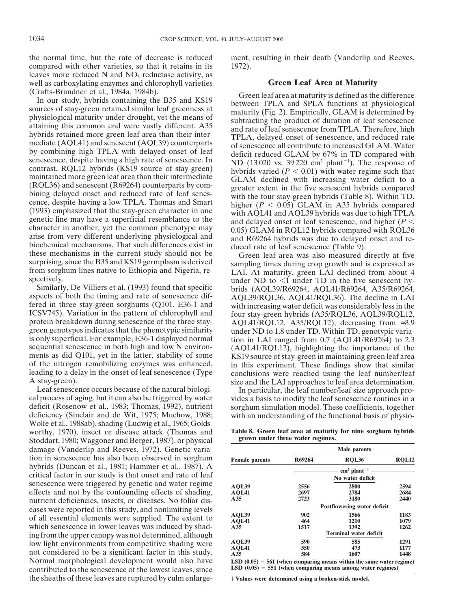the normal time, but the rate of decrease is reduced ment, resulting in their death (Vanderlip and Reeves, compared with other varieties, so that it retains in its 1972). leaves more reduced  $N$  and  $NO<sub>3</sub>$  reductase activity, as well as carboxylating enzymes and chlorophyll varieties **Green Leaf Area at Maturity** 

Senescence, despite having a high rate of senescence. In<br>
maintained more green leaf area than their intermediate<br>
(RQL36) and senescent (R69264) counterparts by com-<br>
bining delayed onset and reduced rate of leaf senes-<br>

Wolfe et al., 1988ab), shading (Ludwig et al., 1965; Goldsworthy, 1970), insect or disease attack (Thomas and **Table 8. Green leaf area at maturity for nine sorghum hybrids**<br>Stoddart 1980: Waggoner and Berger 1987) or physical grown under three water regimes. **grown under three water regimes.** Stoddart, 1980; Waggoner and Berger, 1987), or physical damage (Vanderlip and Reeves, 1972). Genetic variation in senescence has also been observed in sorghum hybrids (Duncan et al., 1981; Hammer et al., 1987). A critical factor in our study is that onset and rate of leaf senescence were triggered by genetic and water regime effects and not by the confounding effects of shading, nutrient deficiencies, insects, or diseases. No foliar diseases were reported in this study, and nonlimiting levels of all essential elements were supplied. The extent to which senescence in lower leaves was induced by shading from the upper canopy was not determined, although low light environments from competitive shading were not considered to be a significant factor in this study. Normal morphological development would also have **LSD** (0.05) = 561 (when comparing means within the same water regimes)<br> **LSD** (0.05) = 551 (when comparing means among water regimes) contributed to the senescence of the lowest leaves, since the sheaths of these leaves are ruptured by culm enlarge- **† Values were determined using a broken-stick model.**

(Crafts-Brandner et al., 1984a, 1984b).<br>
In our study, hybrids containing the B35 and KS19<br>
sources of stay-green retained similar leaf greenness at<br>
physiological maturity under drought, yet the means of<br>
attaining this c

character in another, yet the common phenotype may<br>
arise from very different underlying physiological and<br>
bichemical mechanisms. That such differences exist in<br>
these mechanisms. That such differences exist in<br>
these me protein breakdown during senescence of the three stay-<br>green genotypes indicates that the phenotypic similarity<br>is only superficial. For example, E36-1 displayed normal<br>sequential senescence in both high and low N environ of the nitrogen remobilizing enzymes was enhanced,<br>leading to a delay in the onset of leaf senescence (Type<br>A stay-green).<br>Leaf senescence occurs because of the natural biologi-<br>leaf particular, the leaf number/leaf size a

In particular, the leaf number/leaf size approach procal process of aging, but it can also be triggered by water vides a basis to modify the leaf senescence routines in a deficit (Rosenow et al., 1983; Thomas, 1992), nutrient sorghum simulation model. These coefficients, together deficiency (Sinclair and de Wit, 1975; Muchow, 1988; with an understanding of the functional basis of physio-

|                       |        | <b>Male</b> parents                                                    |              |
|-----------------------|--------|------------------------------------------------------------------------|--------------|
| <b>Female parents</b> | R69264 | <b>ROL36</b>                                                           | <b>ROL12</b> |
|                       |        | $\text{cm}^2$ plant <sup>-1</sup>                                      |              |
|                       |        | No water deficit                                                       |              |
| AOL39                 | 2556   | 2800                                                                   | 2594         |
| AOL41                 | 2697   | 2784                                                                   | 2684         |
| A35                   | 2723   | 3180                                                                   | 2440         |
|                       |        | Postflowering water deficit                                            |              |
| AOL39                 | 902    | 1566                                                                   | 1183         |
| AOL41                 | 464    | 1210                                                                   | 1079         |
| A35                   | 1517   | 1392                                                                   | 1262         |
|                       |        | <b>Terminal water deficit</b>                                          |              |
| AOL39                 | 590    | 585                                                                    | 1291         |
| AOL41                 | 350    | 473                                                                    | 1177         |
| A35                   | 584    | 1607                                                                   | 1448         |
|                       |        | LSD $(0.05) = 561$ (when comparing means within the same water regime) |              |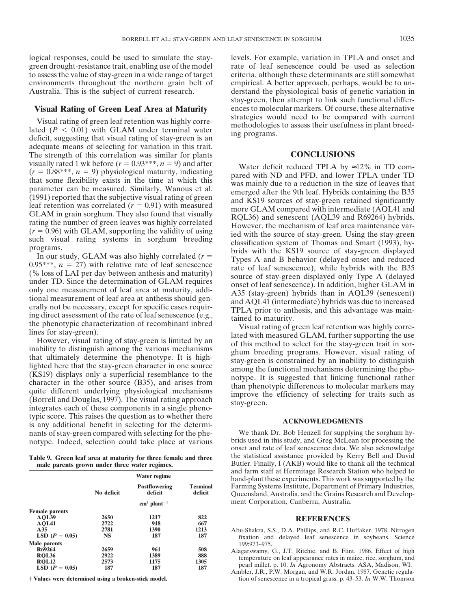green drought-resistance trait, enabling use of the model rate of leaf senescence could be used as selection to assess the value of stay-green in a wide range of target criteria, although these determinants are still somewhat environments throughout the northern grain belt of empirical. A better approach, perhaps, would be to un-Australia. This is the subject of current research. derstand the physiological basis of genetic variation in

Visual rating of green leaf retention was highly corre-<br>lated  $(P < 0.01)$  with GLAM under terminal water<br>deficit, suggesting that visual rating of stay-green is an<br>larger programs. adequate means of selecting for variation in this trait. The strength of this correlation was similar for plants **CONCLUSIONS**<br>visually rated 1 wk before  $(r = 0.93***$ ,  $n = 9$ ) and after Weter deficit reduced TPLA by a

typic score. This raises the question as to whether there **ACKNOWLEDGMENTS** is any additional benefit in selecting for the determinants of stay-green compared with selecting for the phe-<br>
We thank Dr. Bob Henzell for supplying the sorghum hy-<br>
notype. Indeed. selection could take place at various brids used in this study, and Greg McLean for processi notype. Indeed, selection could take place at various

|                                                                            | Water regime                |                                   |                            | and farm staff at Hermitage Research Station who helped to<br>hand-plant these experiments. This work was supported by the                                                                                                                                                                   |
|----------------------------------------------------------------------------|-----------------------------|-----------------------------------|----------------------------|----------------------------------------------------------------------------------------------------------------------------------------------------------------------------------------------------------------------------------------------------------------------------------------------|
|                                                                            | No deficit                  | <b>Postflowering</b><br>deficit   | <b>Terminal</b><br>deficit | Farming Systems Institute, Department of Primary Industries,<br>Queensland, Australia, and the Grains Research and Develop-                                                                                                                                                                  |
|                                                                            |                             | $\text{cm}^2$ plant <sup>-1</sup> |                            | ment Corporation, Canberra, Australia.                                                                                                                                                                                                                                                       |
| <b>Female</b> parents<br>AOL39<br><b>AOL41</b>                             | 2650<br>2722                | 1217<br>918                       | 822<br>667                 | <b>REFERENCES</b>                                                                                                                                                                                                                                                                            |
| A35<br>LSD $(P = 0.05)$                                                    | 2781<br><b>NS</b>           | 1390<br>187                       | 1213<br>187                | Abu-Shakra, S.S., D.A. Phillips, and R.C. Huffaker. 1978. Nitrogen<br>fixation and delayed leaf senescence in soybeans. Science                                                                                                                                                              |
| Male parents<br>R69264<br><b>ROL36</b><br><b>ROL12</b><br>LSD $(P = 0.05)$ | 2659<br>2922<br>2573<br>187 | 961<br>1389<br>1175<br>187        | 508<br>888<br>1305<br>187  | 199:973-975.<br>Alagarswamy, G., J.T. Ritchie, and B. Flint. 1986. Effect of high<br>temperature on leaf appearance rates in maize, rice, sorghum, and<br>pearl millet. p. 10. In Agronomy Abstracts. ASA, Madison, WI.<br>Ambler, J.R., P.W. Morgan, and W.R. Jordan. 1987. Genetic regula- |
| † Values were determined using a broken-stick model.                       |                             |                                   |                            | tion of senescence in a tropical grass. p. 43–53. In W.W. Thomson                                                                                                                                                                                                                            |

logical responses, could be used to simulate the stay-<br>levels. For example, variation in TPLA and onset and stay-green, then attempt to link such functional differ-**Visual Rating of Green Leaf Area at Maturity** ences to molecular markers. Of course, these alternative<br> **Visual paties of ances leaf artestine musclickly serve** strategies would need to be compared with current

visually rated 1 wk before  $(r = 0.98^{28*9}$ ,  $m = 9)$  and after where deficit reduced TPLA by  $\approx 12\%$  in The consideration parameter an be measured, Similarly, Wanous et al. emerged after the DM band PFD, and lower TPLA u

onset and rate of leaf senescence data. We also acknowledge Table 9. Green leaf area at maturity for three female and three the statistical assistance provided by Kerry Bell and David male parents grown under three water regimes.<br>Butler. Finally, I (AKB) would like to thank all the Butler. Finally, I (AKB) would like to thank all the technical and farm staff at Hermitage Research Station who helped to hand-plant these experiments. This work was supported by the Farming Systems Institute, Department of Primary Industries, Queensland, Australia, and the Grains Research and Development Corporation, Canberra, Australia.

- **ABLISH 2650 2650 2650 2650 2650 2650 2650 Abu-Shakra, S.S., D.A. Phillips, and R.C. Huffaker. 1978. Nitrogen** fixation and delayed leaf senescence in soybeans. Science 199.973–975.
- 
- tion of senescence in a tropical grass. p. 43–53. *In* W.W. Thomson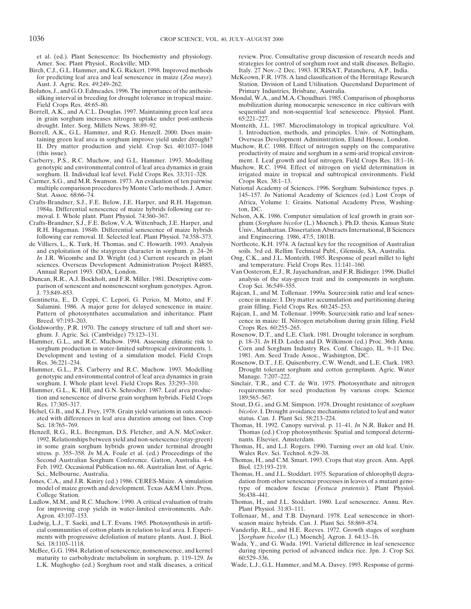et al. (ed.). Plant Senescence: Its biochemistry and physiology. review. Proc. Consultative group discussion of research needs and

- Birch, C.J., G.L. Hammer, and K.G. Rickert. 1998. Improved methods for predicting leaf area and leaf senescence in maize (*Zea mays*). McKeown, F.R. 1978. A land classification of the Hermitage Research
- Bolaños, J., and G.O. Edmeades. 1996. The importance of the anthesis- Primary Industries, Brisbane, Australia. silking interval in breeding for drought tolerance in tropical maize. Mondal, W.A., and M.A. Choudhuri. 1985. Comparison of phosphorus
- Borrell, A.K., and A.C.L. Douglas. 1997. Maintaining green leaf area in grain sorghum increases nitrogen uptake under post-anthesis  $65:221-227$ .<br>drought. Inter. Sorg. Millets News. 38:89-92. Monteith, J.L
- Borrell, A.K., G.L. Hammer, and R.G. Henzell. 2000. Does main-<br>
1. Introduction, methods, and principles. Univ. of Nottingham,<br>
ining green leaf area in sorghum improve yield under drought? Overseas Development Administrat taining green leaf area in sorghum improve yield under drought?<br>II. Dry matter production and yield. Crop Sci. 40:1037-1048
- genotypic and environmental control of leaf area dynamics in grain Muchow, R.C. 1994. Effect of nitrogen on yield determination in
- Carmer, S.G., and M.R. Swanson. 1973. An evaluation of ten pairwise
- 1984a. Differential senescence of maize hybrids following ear re-moval. I. Whole plant. Plant Physiol. 74:360-367.
- Crafts-Brandner, S.J., F.E. Below, V.A. Wittenbach, J.E. Harper, and R.H. Hageman. 1984b. Differential senescence of maize hybrids following ear removal. II. Selected leaf. Plant Physiol. 74:358-373.
- and exploitation of the staygreen character in sorghum. p. 24–26 soils. 3rd ed. Rellim Technical Publ., Glenside, SA, Australia. *In* J.R. Wicombe and D. Wright (ed.) Current research in plant Ong, C.K., and J.L. Monteith. sciences. Overseas Development Administration Project R4885, and temperature. Field Crops Res. 11:141-160.
- parison of senescent and nonsenescent sorghum genotypes. Agron. Crop Sci. 36:549–555. J. 73:849–853. Rajcan, I., and M. Tollenaar. 1999a. Source:sink ratio and leaf senes-
- Salamini. 1986. A major gene for delayed senescence in maize. grain filling. Field Crops Res. 60:245–253. Pattern of photosynthates accumulation and inheritance. Plant Rajcan, I., and M. Tollenaar. 1999b. Source:sink ratio and leaf senes-<br>Breed. 97:193–203. Cence in maize: II. Nitrogen metabolism during grain filling. Field
- Goldsworthy, P.R. 1970. The canopy structure of tall and short sor-<br>ghum. J. Agric. Sci. (Cambridge) 75:123-131. Rosenow, D.T., and L.E.
- Hammer, G.L., and R.C. Muchow. 1994. Assessing climatic risk to sorghum production in water-limited subtropical environments. 1. Corn and Sorghum Industry Res. Conf. Chicago, IL. 9–11 Dec.<br>Development and testing of a simulation model. Field Crops 1981. Am. Seed Trade Assoc., Washingto Development and testing of a simulation model. Field Crops Res. 36:221–234. Rosenow, D.T., J.E. Quisenberry, C.W. Wendt, and L.E. Clark. 1983.
- genotypic and environmental control of leaf area dynamics in grain Manage. 7:207–222<br>sorghum. I. Whole plant level. Field Crops Res. 33:293–310. Sinclair, T.R., and C.
- Hammer, G.L., K. Hill, and G.N. Schrodter. 1987. Leaf area produc- requirements for seed production by various crops. Science tion and senescence of diverse grain sorghum hybrids. Field Crops 189:565–567.
- Helsel, G.B., and K.J. Frey, 1978. Grain yield variations in oats associ-<br>
ated with differences in leaf area duration among oat lines. Crop status. Can. J. Plant Sci. 58:213-224. ated with differences in leaf area duration among oat lines. Crop
- Henzell, R.G., R.L. Brengman, D.S. Fletcher, and A.N. McCosker. 1992. Relationships between yield and non-senescence (stay-green) nants. Elsevier, Amsterdam. in some grain sorghum hybrids grown under terminal drought Thomas, H., and L.J. Rogers. 1990. Turning over an old leaf. Univ.<br>stress. p. 355–358. In M.A. Foale et al. (ed.) Proceedings of the Wales Rev. Sci. Technol. 6:29– stress. p. 355–358. *In* M.A. Foale et al. (ed.) Proceedings of the Second Australian Sorghum Conference. Gatton, Australia. 4–6 Feb. 1992. Occasional Publication no. 68. Australian Inst. of Agric. Biol. 123:193–219.
- Jones, C.A., and J.R. Kiniry (ed.) 1986. CERES-Maize. A simulation College Station. 56:438–441.<br>Ludlow, M.M., and R.C. Muchow. 1990. A critical evaluation of traits Thomas, H., a
- for improving crop yields in water-limited environments. Adv. Plant Physiol. 31:83–111. Agron. 43:107–153. Tollenaar, M., and T.B. Daynard. 1978. Leaf senescence in short-
- Ludwig, L.J., T. Saeki, and L.T. Evans. 1965. Photosynthesis in artifi- season maize hybrids. Can. J. Plant Sci. 58:869–874. cial communities of cotton plants in relation to leaf area. I. Experi- Vanderlip, R.L., and H.E. Reeves. 1972. Growth stages of sorghum ments with progressive defoliation of mature plants. Aust. J. Biol. [*Sorghum bicolor* (L.) Moench]. Agron. J. 64:13–16.<br>Wada, Y., and G. Wada. 1991. Varietal difference in lea
- maturity to carbohydrate metabolism in sorghum. p. 119-129. In L.K. Mughogho (ed.) Sorghum root and stalk diseases, a critical Wade, L.J., G.L. Hammer, and M.A. Davey. 1993. Response of germi-

Amer. Soc. Plant Physiol., Rockville; MD. strategies for control of sorghum root and stalk diseases. Bellagio,<br>
rch, C.J., G.L. Hammer, and K.G. Rickert. 1998. Improved methods Italy. 27 Nov.-2 Dec. 1983. ICRISAT, Patanche

- Aust. J. Agric. Res. 49:249–262. Station. Division of Land Utilisation. Queensland Department of
- Field Crops Res. 48:65–80.<br>
Field Crops Res. 48:65–80. mobilization during monocarpic senescence in rice cultivars with<br>
sequential and non-sequential leaf senescence. Physiol. Plant.
	- Monteith, J.L. 1987. Microclimatology in tropical agriculture. Vol.
- Muchow, R.C. 1988. Effect of nitrogen supply on the comparative (this issue). productivity of maize and sorghum in a semi-arid tropical environ-<br>Carberry, P.S., R.C. Muchow, and G.L. Hammer. 1993. Modelling ment. I. Leaf growth and leaf nitrogen. Field Crops Res. 18:1–16. ment. I. Leaf growth and leaf nitrogen. Field Crops Res. 18:1-16.
	- sorghum. II. Individual leaf level. Field Crops Res. 33:311–328. irrigated maize in tropical and subtropical environments. Field<br>
	rmer, S.G., and M.R. Swanson. 1973. An evaluation of ten pairwise Crops Res. 38:1–13.
- multiple comparison procedures by Monte Carlo methods. J. Amer. National Academy of Sciences. 1996. Sorghum: Subsistence types. p. Stat. Assoc. 68:66–74. 145–157. *In* National Academy of Sciences (ed.) Lost Crops of Crafts-Brandner, S.J., F.E. Below, J.E. Harper, and R.H. Hageman. Africa, Volume 1: Grains. National Academy Press, Washing-
	- Melson, A.K. 1986. Computer simulation of leaf growth in grain sor-<br>ghum (Sorghum bicolor (L.) Moench.). Ph.D. thesis. Kansas State Univ., Manhattan. Dissertation Abstracts International, B Sciences and Engineering. 1986, 47:5, 1801B.
- de Villiers, L., K. Turk, H. Thomas, and C. Howarth. 1993. Analysis Northcote, K.H. 1974. A factual key for the recognition of Australian
	- Ong, C.K., and J.L. Monteith. 1985. Response of pearl millet to light
- Annual Report 1993. ODA, London. Van Oosterom, E.J., R. Jayachandran, and F.R. Bidinger. 1996. Diallel Duncan, R.R., A.J. Bockholt, and F.R. Miller. 1981. Descriptive com- analysis of the stay-green trait and its components in sorghum.
- Gentinetta, E., D. Ceppi, C. Lepori, G. Perico, M. Motto, and F. cence in maize: I. Dry matter accumulation and partitioning during
	- cence in maize: II. Nitrogen metabolism during grain filling. Field
	- Rosenow, D.T., and L.E. Clark. 1981. Drought tolerance in sorghum.<br>p. 18-31. In H.D. Loden and D. Wilkinson (ed.) Proc. 36th Annu.
- Hammer, G.L., P.S. Carberry and R.C. Muchow. 1993. Modelling Drought tolerant sorghum and cotton germplasm. Agric. Water
	- Sinclair, T.R., and C.T. de Wit. 1975. Photosynthate and nitrogen
	- Res. 17:305–317. Stout, D.G., and G.M. Simpson. 1978. Drought resistance of *sorghum*
	- Sci. 18:765–769.<br>
	Interval. p. 11–41. *In* N.R. Baker and H. Thomas, H. 1992. Canopy survival. p. 11–41. *In* N.R. Baker and H. Thomas (ed.) Crop photosynthesis: Spatial and temporal determi-
		-
		- Thomas, H., and C.M. Smart. 1993. Crops that stay green. Ann. Appl.
	- Sci., Melbourne, Australia.<br>
	Inomas, H., and J.L. Stoddart. 1975. Separation of chlorophyll degra-<br>
	dation from other senescence processes in leaves of a mutant geno-<br>
	dation from other senescence processes in leaves of a model of maize growth and development. Texas A&M Univ. Press, type of meadow fescue (*Festuca pratensis*). Plant Physiol.
		- Thomas, H., and J.L. Stoddart. 1980. Leaf senescence. Annu. Rev.
		-
		-
- Wada, Y., and G. Wada. 1991. Varietal difference in leaf senescence McBee, G.G. 1984. Relation of senescence, nonsenescence, and kernel during ripening period of advanced indica rice. Jpn. J. Crop Sci. maturity to carbohydrate metabolism in sorghum. p. 119–129. In 60:529–536.
	-